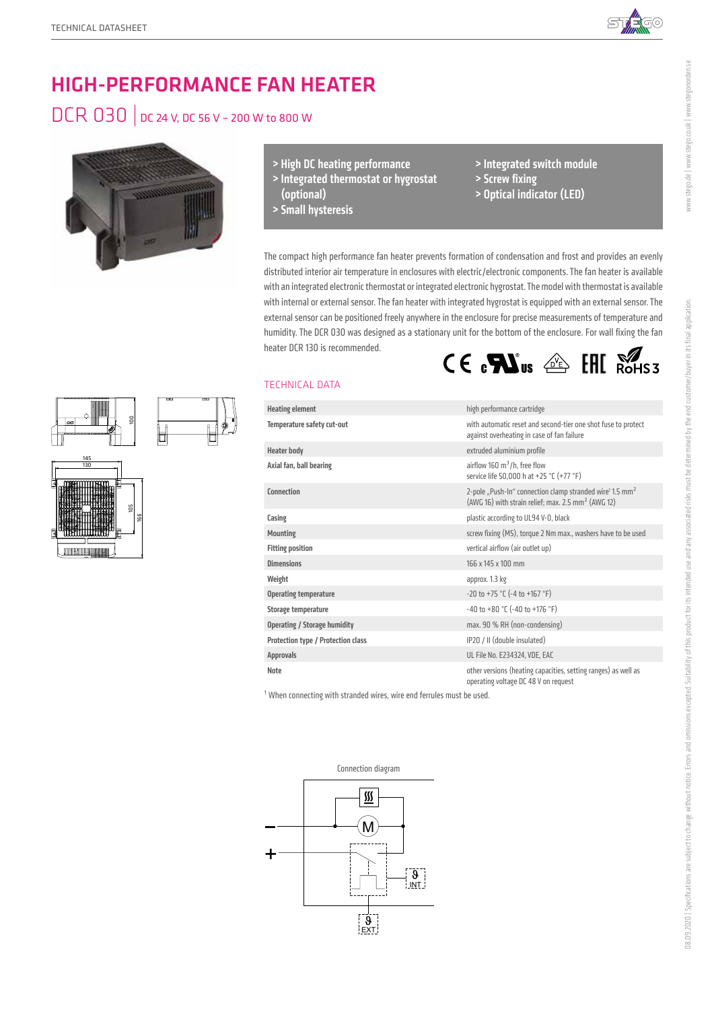

# HIGH-PERFORMANCE FAN HEATER

## DCR 030 | DC 24 V, DC 56 V – 200 W to 800 W



100

 105 166

 145 130

- > High DC heating performance
- > Integrated thermostat or hygrostat (optional)
- > Small hysteresis
- > Integrated switch module > Screw fixing
- > Optical indicator (LED)

The compact high performance fan heater prevents formation of condensation and frost and provides an evenly distributed interior air temperature in enclosures with electric/electronic components. The fan heater is available with an integrated electronic thermostat or integrated electronic hygrostat. The model with thermostat is available with internal or external sensor. The fan heater with integrated hygrostat is equipped with an external sensor. The external sensor can be positioned freely anywhere in the enclosure for precise measurements of temperature and humidity. The DCR 030 was designed as a stationary unit for the bottom of the enclosure. For wall fixing the fan heater DCR 130 is recommended.  $CE \cdot \mathbf{M}$ us  $\hat{\otimes}$  EHI  $\hat{\otimes}$ HS3

### TECHNICAL DATA

| <b>Heating element</b>              | high performance cartridge                                                                                                                         |
|-------------------------------------|----------------------------------------------------------------------------------------------------------------------------------------------------|
| Temperature safety cut-out          | with automatic reset and second-tier one shot fuse to protect<br>against overheating in case of fan failure                                        |
| <b>Heater body</b>                  | extruded aluminium profile                                                                                                                         |
| Axial fan, ball bearing             | airflow 160 $m^3/h$ , free flow<br>service life 50,000 h at +25 °C (+77 °F)                                                                        |
| Connection                          | 2-pole "Push-In" connection clamp stranded wire <sup>1</sup> 1.5 mm <sup>2</sup><br>(AWG 16) with strain relief; max. 2.5 mm <sup>2</sup> (AWG 12) |
| Casing                              | plastic according to UL94 V-0, black                                                                                                               |
| <b>Mounting</b>                     | screw fixing (M5), torque 2 Nm max., washers have to be used                                                                                       |
| <b>Fitting position</b>             | vertical airflow (air outlet up)                                                                                                                   |
| <b>Dimensions</b>                   | 166 x 145 x 100 mm                                                                                                                                 |
| Weight                              | approx. 1.3 kg                                                                                                                                     |
| <b>Operating temperature</b>        | $-20$ to $+75$ °C ( $-4$ to $+167$ °F)                                                                                                             |
| Storage temperature                 | -40 to +80 $^{\circ}$ C (-40 to +176 $^{\circ}$ F)                                                                                                 |
| <b>Operating / Storage humidity</b> | max. 90 % RH (non-condensing)                                                                                                                      |
| Protection type / Protection class  | IP20 / II (double insulated)                                                                                                                       |
| <b>Approvals</b>                    | UL File No. E234324, VDE, EAC                                                                                                                      |
| <b>Note</b>                         | other versions (heating capacities, setting ranges) as well as<br>operating voltage DC 48 V on request                                             |

<sup>1</sup> When connecting with stranded wires, wire end ferrules must be used.